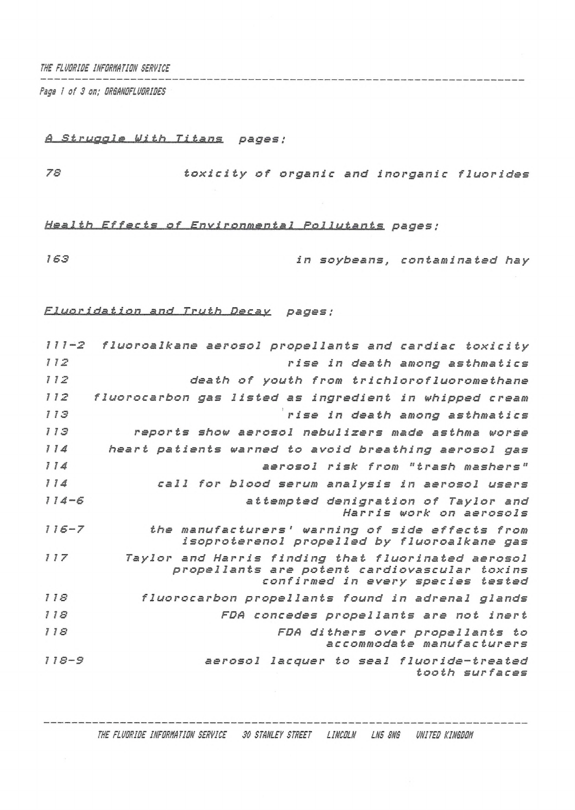### *THE FLUDRIDE INFORMATION SERVICE*

*Psgs ! of 3 on; ORGfiNDFLUDRIDES*

## *<sup>A</sup> .Struggle With Titans pages ;*

*toxicity of organic and inorganic fluorides*

# *Health Effects of Environmental Pollutants pages ;*

*in soybeans, contaminated hay*

*Fluoridation and Truth Decay pages ;*

| $111 - 2$ | fluoroalkane aerosol propellants and cardiac toxicity                                          |
|-----------|------------------------------------------------------------------------------------------------|
| 112       | rise in death among asthmatics                                                                 |
| 112       | death of youth from trichlorofluoromethane                                                     |
| 112       | fluorocarbon gas listed as ingredient in whipped cream                                         |
| 113       | rise in death among asthmatics                                                                 |
| 113       | reports show aerosol nebulizers made asthma worse                                              |
| 114       | heart patients warned to avoid breathing aerosol gas                                           |
| 114       | aerosol risk from "trash mashers"                                                              |
| 114       | call for blood serum analysis in aerosol users                                                 |
| $114 - 5$ | attempted denigration of Taylor and                                                            |
|           | Harris work on aerosols                                                                        |
| $116 - 7$ | the manufacturers' warning of side effects from<br>isoproterenol propelled by fluoroalkane gas |
| 117       | Taylor and Harris finding that fluorinated aerosol                                             |
|           | propellants are potent cardiovascular toxins<br>confirmed in every species tested              |
| 118       | fluorocarbon propellants found in adrenal glands                                               |
| 118       | FDA concedes propellants are not inert                                                         |
| 118       | FDA dithers over propellants to<br>accommodate manufacturers                                   |
| $118 - 9$ | aerosol lacquer to seal fluoride-treated<br>tooth surfaces                                     |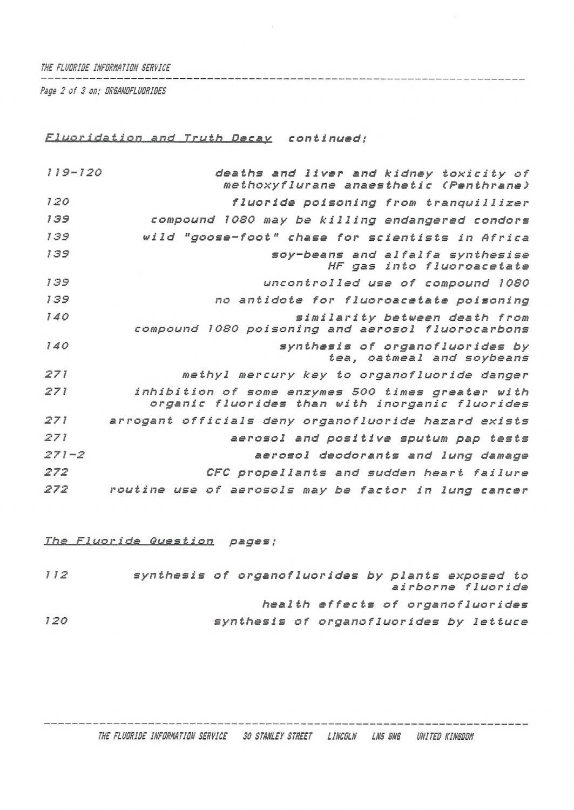### *THE FLUORISE INFORMATION SERVICE*

*Page 2 of 3 on; ORSANOFLUORIDES*

*Fluoridation and <sup>T</sup>ruth Decay continued;*

*119-120 deaths and liver and kidney toxicity of methoxyflurane anaesthetic (Penthrane) fluoride poisoning from tranquillizer compound <sup>1080</sup> may be killing endangered condors wild "goose-foot" chase for scientists in Africa soy-beans and alfalfa synthesise HF gas into fluoroacetate uncontrolled use of compound 1080 no antidote for fluoroacetate poisoning similarity between death from compound 1080 poisoning and aerosol fluorocarbons synthesis of organofluorides by tea, oatmeal and soybeans methyl mercury key to organof1uor ide danger inhibition of some enzymes 500 times greater with organic fluorides than with inorganic fluorides arrogant officials deny <sup>o</sup>rganof1uoride hazard exists aerosol and positive sputum pap tests —2 aerosol deodorants and lung damage CFC propellants and sudden heart failure routine use of aerosols may be factor in lung cancer*

*The Fluoride Question pages;*

*112 synthesis of organof1uorides by plants exposed to airborne fluoride health effects of organofluorides <sup>120</sup> synthesis of organofluorides by lettuce*